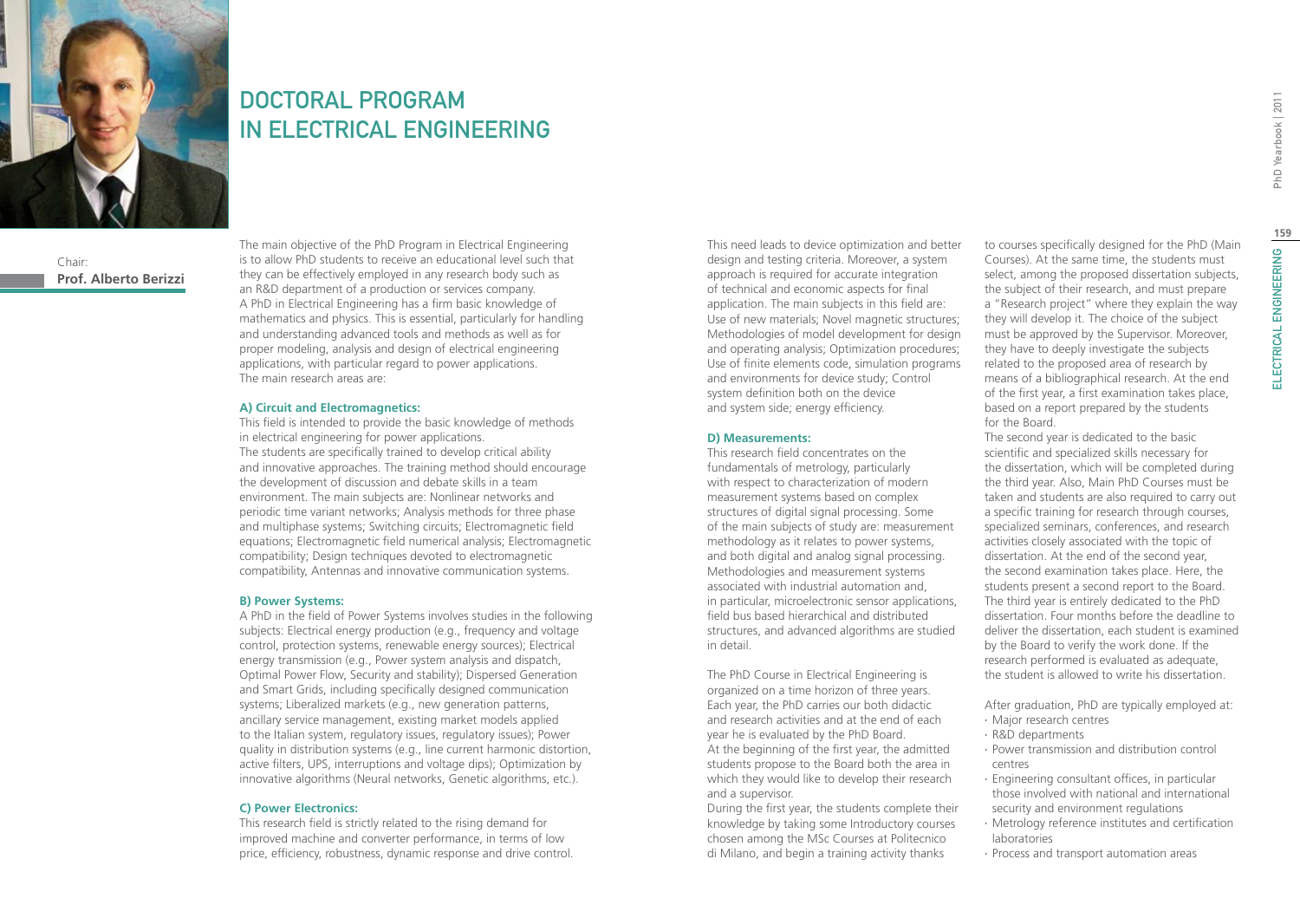

# DOCTORAL PROGRAM IN ELECTRICAL ENGINEERING

Chair: **Prof. Alberto Berizzi** The main objective of the PhD Program in Electrical Engineering is to allow PhD students to receive an educational level such that they can be effectively employed in any research body such as an R&D department of a production or services company. A PhD in Electrical Engineering has a firm basic knowledge of mathematics and physics. This is essential, particularly for handling and understanding advanced tools and methods as well as for proper modeling, analysis and design of electrical engineering applications, with particular regard to power applications. The main research areas are:

#### **A) Circuit and Electromagnetics:**

This field is intended to provide the basic knowledge of methods in electrical engineering for power applications. The students are specifically trained to develop critical ability and innovative approaches. The training method should encourage the development of discussion and debate skills in a team environment. The main subjects are: Nonlinear networks and periodic time variant networks; Analysis methods for three phase and multiphase systems; Switching circuits; Electromagnetic field equations; Electromagnetic field numerical analysis; Electromagnetic compatibility; Design techniques devoted to electromagnetic compatibility, Antennas and innovative communication systems.

#### **B) Power Systems:**

A PhD in the field of Power Systems involves studies in the following subjects: Electrical energy production (e.g., frequency and voltage control, protection systems, renewable energy sources); Electrical energy transmission (e.g., Power system analysis and dispatch, Optimal Power Flow, Security and stability); Dispersed Generation and Smart Grids, including specifically designed communication systems; Liberalized markets (e.g., new generation patterns, ancillary service management, existing market models applied to the Italian system, regulatory issues, regulatory issues); Power quality in distribution systems (e.g., line current harmonic distortion, active filters, UPS, interruptions and voltage dips); Optimization by innovative algorithms (Neural networks, Genetic algorithms, etc.).

### **C) Power Electronics:**

This research field is strictly related to the rising demand for improved machine and converter performance, in terms of low price, efficiency, robustness, dynamic response and drive control. This need leads to device optimization and better design and testing criteria. Moreover, a system approach is required for accurate integration of technical and economic aspects for final application. The main subjects in this field are: Use of new materials; Novel magnetic structures; Methodologies of model development for design and operating analysis; Optimization procedures; Use of finite elements code, simulation programs and environments for device study; Control system definition both on the device and system side; energy efficiency.

#### **D) Measurements:**

This research field concentrates on the fundamentals of metrology, particularly with respect to characterization of modern measurement systems based on complex structures of digital signal processing. Some of the main subjects of study are: measurement methodology as it relates to power systems, and both digital and analog signal processing. Methodologies and measurement systems associated with industrial automation and, in particular, microelectronic sensor applications, field bus based hierarchical and distributed structures, and advanced algorithms are studied in detail.

The PhD Course in Electrical Engineering is organized on a time horizon of three years. Each year, the PhD carries our both didactic and research activities and at the end of each year he is evaluated by the PhD Board. At the beginning of the first year, the admitted students propose to the Board both the area in which they would like to develop their research and a supervisor.

During the first year, the students complete their knowledge by taking some Introductory courses chosen among the MSc Courses at Politecnico di Milano, and begin a training activity thanks

to courses specifically designed for the PhD (Main Courses). At the same time, the students must select, among the proposed dissertation subjects, the subject of their research, and must prepare a "Research project" where they explain the way they will develop it. The choice of the subject must be approved by the Supervisor. Moreover, they have to deeply investigate the subjects related to the proposed area of research by means of a bibliographical research. At the end of the first year, a first examination takes place, based on a report prepared by the students for the Board.

The second year is dedicated to the basic scientific and specialized skills necessary for the dissertation, which will be completed during the third year. Also, Main PhD Courses must be taken and students are also required to carry out a specific training for research through courses, specialized seminars, conferences, and research activities closely associated with the topic of dissertation. At the end of the second year, the second examination takes place. Here, the students present a second report to the Board. The third year is entirely dedicated to the PhD dissertation. Four months before the deadline to deliver the dissertation, each student is examined by the Board to verify the work done. If the research performed is evaluated as adequate, the student is allowed to write his dissertation.

After graduation, PhD are typically employed at:

- ∙ Major research centres
- ∙ R&D departments
- ∙ Power transmission and distribution control centres
- ∙ Engineering consultant offices, in particular those involved with national and international security and environment regulations
- ∙ Metrology reference institutes and certification laboratories
- ∙ Process and transport automation areas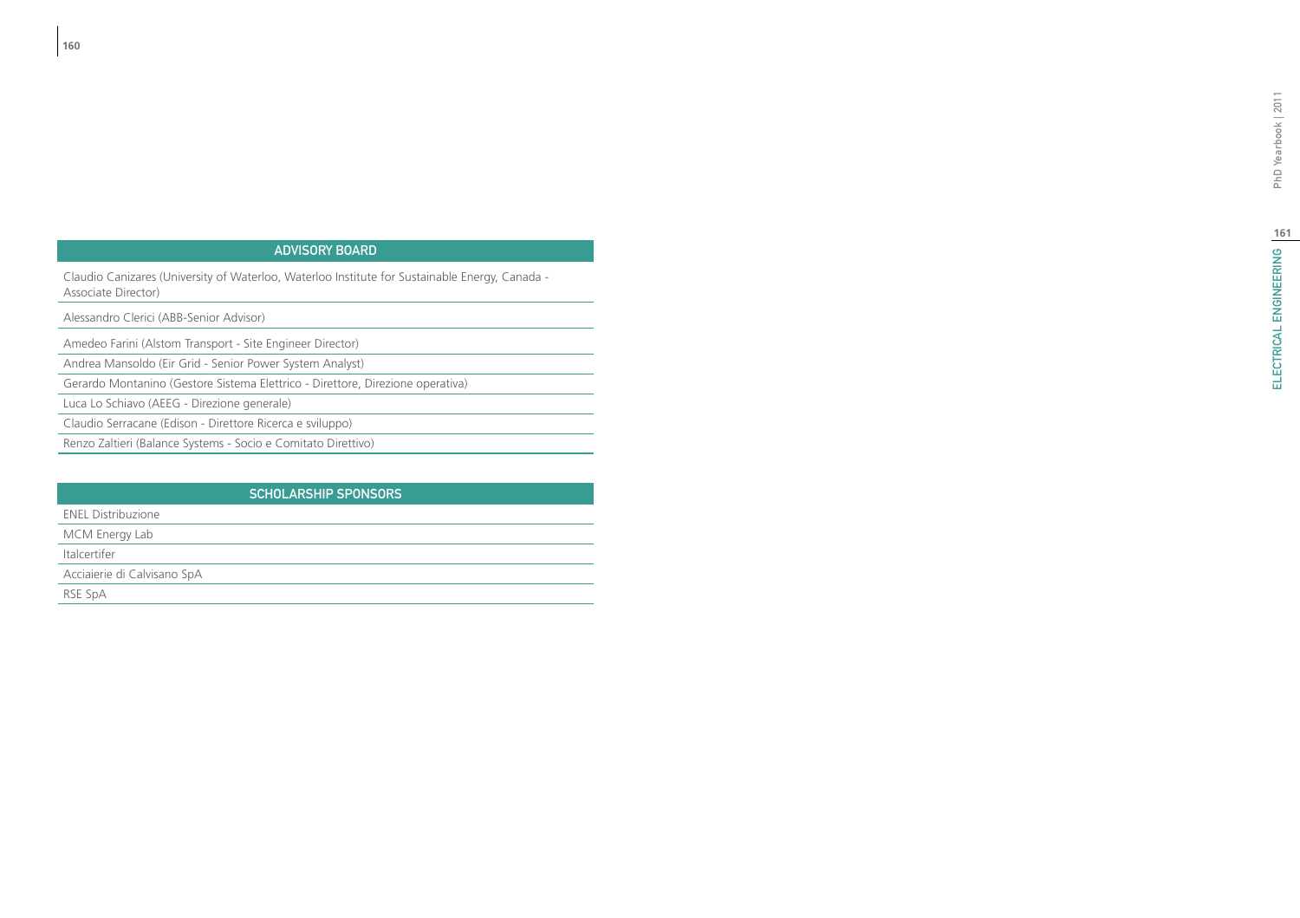#### ADVISORY BO d i

Claudio Canizares (University of Waterloo, Waterloo Institute for Sustainable Energy, Canada - Associate Director)

Alessandro Clerici (ABB-Senior Advisor)

Amedeo Farini (Alstom Transport - Site Engineer Director)

Andrea Mansoldo (Eir Grid - Senior Power System Analyst)

Gerardo Montanino (Gestore Sistema Elettrico - Direttore, Direzione operativa)

Luca Lo Schiavo (AEEG - Direzione generale)

Claudio Serracane (Edison - Direttore Ricerca e sviluppo)

Renzo Zaltieri (Balance Systems - Socio e Comitato Direttivo)

## Sc holarship Spon sor s

ENEL Distribuzione

MCM Energy Lab

Italcertifer

Acciaierie di Calvisano SpA

RSE SpA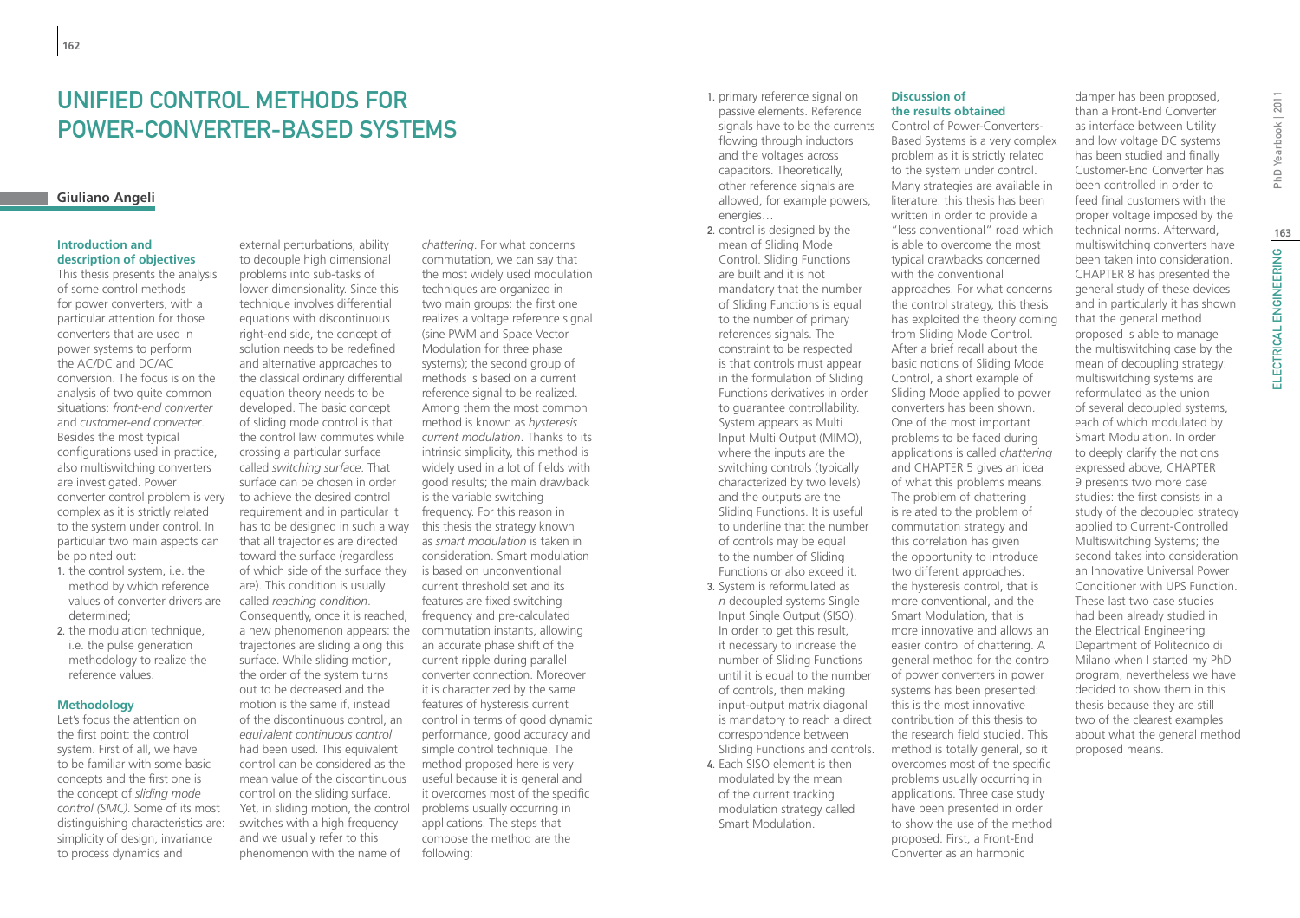## unified control methods for power-converter-based systems

#### **Giuliano Angeli**

#### **Introduction and description of objectives**

This thesis presents the analysis of some control methods for power converters, with a particular attention for those converters that are used in power systems to perform the AC/DC and DC/AC conversion. The focus is on the analysis of two quite common situations: *front-end converter* and *customer-end converter*. Besides the most typical configurations used in practice, also multiswitching converters are investigated. Power converter control problem is very complex as it is strictly related to the system under control. In particular two main aspects can be pointed out:

- 1. the control system, i.e. the method by which reference values of converter drivers are determined;
- 2. the modulation technique. i.e. the pulse generation methodology to realize the reference values.

#### **Methodology**

Let's focus the attention on the first point: the control system. First of all, we have to be familiar with some basic concepts and the first one is the concept of *sliding mode control (SMC)*. Some of its most distinguishing characteristics are: simplicity of design, invariance to process dynamics and

external perturbations, ability to decouple high dimensional problems into sub-tasks of lower dimensionality. Since this technique involves differential equations with discontinuous right-end side, the concept of solution needs to be redefined and alternative approaches to the classical ordinary differential equation theory needs to be developed. The basic concept of sliding mode control is that the control law commutes while crossing a particular surface called *switching surface*. That surface can be chosen in order to achieve the desired control requirement and in particular it has to be designed in such a way that all trajectories are directed toward the surface (regardless of which side of the surface they are). This condition is usually called *reaching condition*. Consequently, once it is reached, trajectories are sliding along this surface. While sliding motion, the order of the system turns out to be decreased and the motion is the same if, instead of the discontinuous control, an *equivalent continuous control*  had been used. This equivalent control can be considered as the mean value of the discontinuous control on the sliding surface. Yet, in sliding motion, the control switches with a high frequency and we usually refer to this phenomenon with the name of

a new phenomenon appears: the commutation instants, allowing *chattering*. For what concerns commutation, we can say that the most widely used modulation techniques are organized in two main groups: the first one realizes a voltage reference signal (sine PWM and Space Vector Modulation for three phase systems); the second group of methods is based on a current reference signal to be realized. Among them the most common method is known as *hysteresis current modulation*. Thanks to its intrinsic simplicity, this method is widely used in a lot of fields with good results; the main drawback is the variable switching frequency. For this reason in this thesis the strategy known as *smart modulation* is taken in consideration. Smart modulation is based on unconventional current threshold set and its features are fixed switching frequency and pre-calculated an accurate phase shift of the current ripple during parallel converter connection. Moreover it is characterized by the same features of hysteresis current control in terms of good dynamic performance, good accuracy and simple control technique. The method proposed here is very useful because it is general and it overcomes most of the specific problems usually occurring in applications. The steps that compose the method are the following:

- 1. primary reference signal on passive elements. Reference signals have to be the currents flowing through inductors and the voltages across capacitors. Theoretically, other reference signals are allowed, for example powers, energies…
- 2. control is designed by the mean of Sliding Mode Control. Sliding Functions are built and it is not mandatory that the number of Sliding Functions is equal to the number of primary references signals. The constraint to be respected is that controls must appear in the formulation of Sliding Functions derivatives in order to guarantee controllability. System appears as Multi Input Multi Output (MIMO), where the inputs are the switching controls (typically characterized by two levels) and the outputs are the Sliding Functions. It is useful to underline that the number of controls may be equal to the number of Sliding Functions or also exceed it. 3. System is reformulated as *n* decoupled systems Single Input Single Output (SISO). In order to get this result, it necessary to increase the number of Sliding Functions until it is equal to the number of controls, then making input-output matrix diagonal

is mandatory to reach a direct correspondence between

4. Each SISO element is then modulated by the mean of the current tracking modulation strategy called Smart Modulation.

Sliding Functions and controls. written in order to provide a "less conventional" road which is able to overcome the most typical drawbacks concerned with the conventional approaches. For what concerns the control strategy, this thesis has exploited the theory coming from Sliding Mode Control. After a brief recall about the basic notions of Sliding Mode Control, a short example of Sliding Mode applied to power converters has been shown. One of the most important problems to be faced during applications is called *chattering* and CHAPTER 5 gives an idea of what this problems means. The problem of chattering is related to the problem of commutation strategy and this correlation has given the opportunity to introduce two different approaches: the hysteresis control, that is more conventional, and the Smart Modulation, that is more innovative and allows an easier control of chattering. A general method for the control of power converters in power systems has been presented: this is the most innovative contribution of this thesis to the research field studied. This method is totally general, so it overcomes most of the specific problems usually occurring in applications. Three case study have been presented in order to show the use of the method proposed. First, a Front-End Converter as an harmonic

**Discussion of the results obtained** Control of Power-Converters-Based Systems is a very complex problem as it is strictly related to the system under control. Many strategies are available in literature: this thesis has been

as interface between Utility and low voltage DC systems has been studied and finally Customer-End Converter has been controlled in order to feed final customers with the proper voltage imposed by the technical norms. Afterward, multiswitching converters have been taken into consideration. CHAPTER 8 has presented the general study of these devices and in particularly it has shown that the general method proposed is able to manage the multiswitching case by the mean of decoupling strategy: multiswitching systems are reformulated as the union of several decoupled systems, each of which modulated by Smart Modulation. In order to deeply clarify the notions expressed above, CHAPTER 9 presents two more case studies: the first consists in a study of the decoupled strategy applied to Current-Controlled Multiswitching Systems; the second takes into consideration an Innovative Universal Power Conditioner with UPS Function. These last two case studies had been already studied in the Electrical Engineering Department of Politecnico di Milano when I started my PhD program, nevertheless we have decided to show them in this thesis because they are still two of the clearest examples about what the general method proposed means.

damper has been proposed, than a Front-End Converter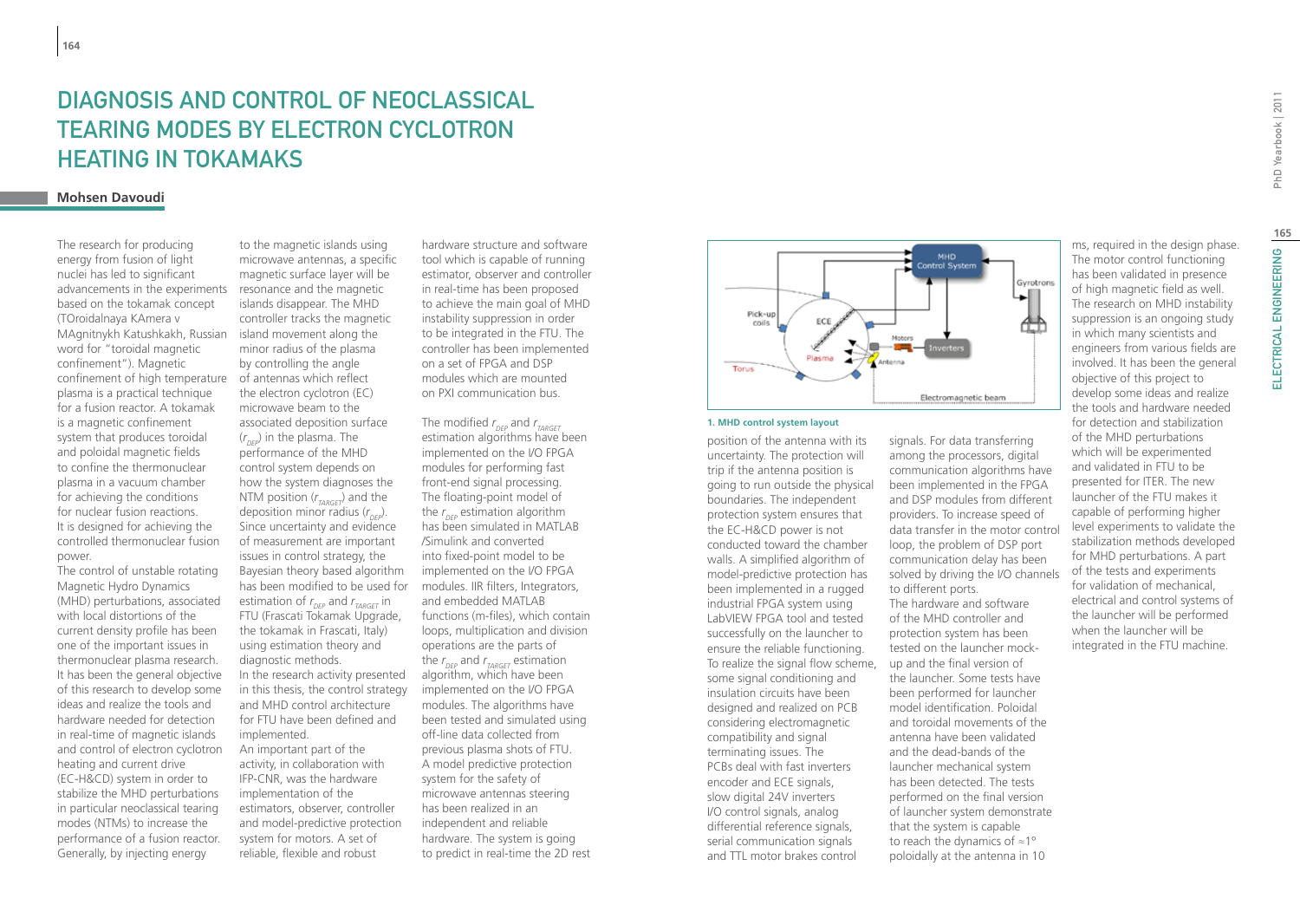# Diagnosis and Control of Neoclassical Tearing Modes by Electron Cyclotron Heating in TOKAMAKs

### **Mohsen Davoudi**

The research for producing energy from fusion of light nuclei has led to significant advancements in the experiments based on the tokamak concept (TOroidalnaya KAmera v MAgnitnykh Katushkakh, Russian word for "toroidal magnetic confinement"). Magnetic confinement of high temperature plasma is a practical technique for a fusion reactor. A tokamak is a magnetic confinement system that produces toroidal and poloidal magnetic fields to confine the thermonuclear plasma in a vacuum chamber for achieving the conditions for nuclear fusion reactions. It is designed for achieving the controlled thermonuclear fusion power.

The control of unstable rotating Magnetic Hydro Dynamics (MHD) perturbations, associated with local distortions of the current density profile has been one of the important issues in thermonuclear plasma research. It has been the general objective of this research to develop some ideas and realize the tools and hardware needed for detection in real-time of magnetic islands and control of electron cyclotron heating and current drive (EC-H&CD) system in order to stabilize the MHD perturbations in particular neoclassical tearing modes (NTMs) to increase the performance of a fusion reactor. Generally, by injecting energy

to the magnetic islands using microwave antennas, a specific magnetic surface layer will be resonance and the magnetic islands disappear. The MHD controller tracks the magnetic island movement along the minor radius of the plasma by controlling the angle of antennas which reflect the electron cyclotron (EC) microwave beam to the associated deposition surface (*r DEP*) in the plasma. The performance of the MHD control system depends on how the system diagnoses the NTM position (*r TARGET*) and the deposition minor radius (*r DEP*). Since uncertainty and evidence of measurement are important issues in control strategy, the Bayesian theory based algorithm has been modified to be used for estimation of  $r_{\text{DEP}}$  and  $r_{\text{TARGET}}$  in FTU (Frascati Tokamak Upgrade, the tokamak in Frascati, Italy) using estimation theory and diagnostic methods. In the research activity presented in this thesis, the control strategy and MHD control architecture for FTU have been defined and implemented. An important part of the activity, in collaboration with IFP-CNR, was the hardware implementation of the estimators, observer, controller and model-predictive protection system for motors. A set of reliable, flexible and robust

hardware structure and software tool which is capable of running estimator, observer and controller in real-time has been proposed to achieve the main goal of MHD instability suppression in order to be integrated in the FTU. The controller has been implemented on a set of FPGA and DSP modules which are mounted on PXI communication bus.

The modified *r DEP* and *r TARGET* estimation algorithms have been implemented on the I/O FPGA modules for performing fast front-end signal processing. The floating-point model of the *r DEP* estimation algorithm has been simulated in MATLAB /Simulink and converted into fixed-point model to be implemented on the I/O FPGA modules. IIR filters, Integrators, and embedded MATLAB functions (m-files), which contain loops, multiplication and division operations are the parts of the  $r_{_{\it DEP}}$  and  $r_{_{\it TARGET}}$  estimation algorithm, which have been implemented on the I/O FPGA modules. The algorithms have been tested and simulated using off-line data collected from previous plasma shots of FTU. A model predictive protection system for the safety of microwave antennas steering has been realized in an independent and reliable hardware. The system is going to predict in real-time the 2D rest



#### **1. MHD control system layout**

position of the antenna with its uncertainty. The protection will trip if the antenna position is going to run outside the physical boundaries. The independent protection system ensures that the EC-H&CD power is not conducted toward the chamber walls. A simplified algorithm of model-predictive protection has been implemented in a rugged industrial FPGA system using LabVIEW FPGA tool and tested successfully on the launcher to ensure the reliable functioning. To realize the signal flow scheme, some signal conditioning and insulation circuits have been designed and realized on PCB considering electromagnetic compatibility and signal terminating issues. The PCBs deal with fast inverters encoder and ECE signals, slow digital 24V inverters I/O control signals, analog differential reference signals, serial communication signals and TTL motor brakes control

signals. For data transferring among the processors, digital communication algorithms have been implemented in the FPGA and DSP modules from different providers. To increase speed of data transfer in the motor control loop, the problem of DSP port communication delay has been solved by driving the I/O channels to different ports. The hardware and software of the MHD controller and protection system has been tested on the launcher mockup and the final version of the launcher. Some tests have been performed for launcher model identification. Poloidal and toroidal movements of the antenna have been validated and the dead-bands of the launcher mechanical system has been detected. The tests performed on the final version of launcher system demonstrate that the system is capable to reach the dynamics of ≈1º

ms, required in the design phase. The motor control functioning has been validated in presence of high magnetic field as well. The research on MHD instability suppression is an ongoing study in which many scientists and engineers from various fields are involved. It has been the general objective of this project to develop some ideas and realize the tools and hardware needed for detection and stabilization of the MHD perturbations which will be experimented and validated in FTU to be presented for ITER. The new launcher of the FTU makes it capable of performing higher level experiments to validate the stabilization methods developed for MHD perturbations. A part of the tests and experiments for validation of mechanical, electrical and control systems of the launcher will be performed when the launcher will be integrated in the FTU machine.

**165**

poloidally at the antenna in 10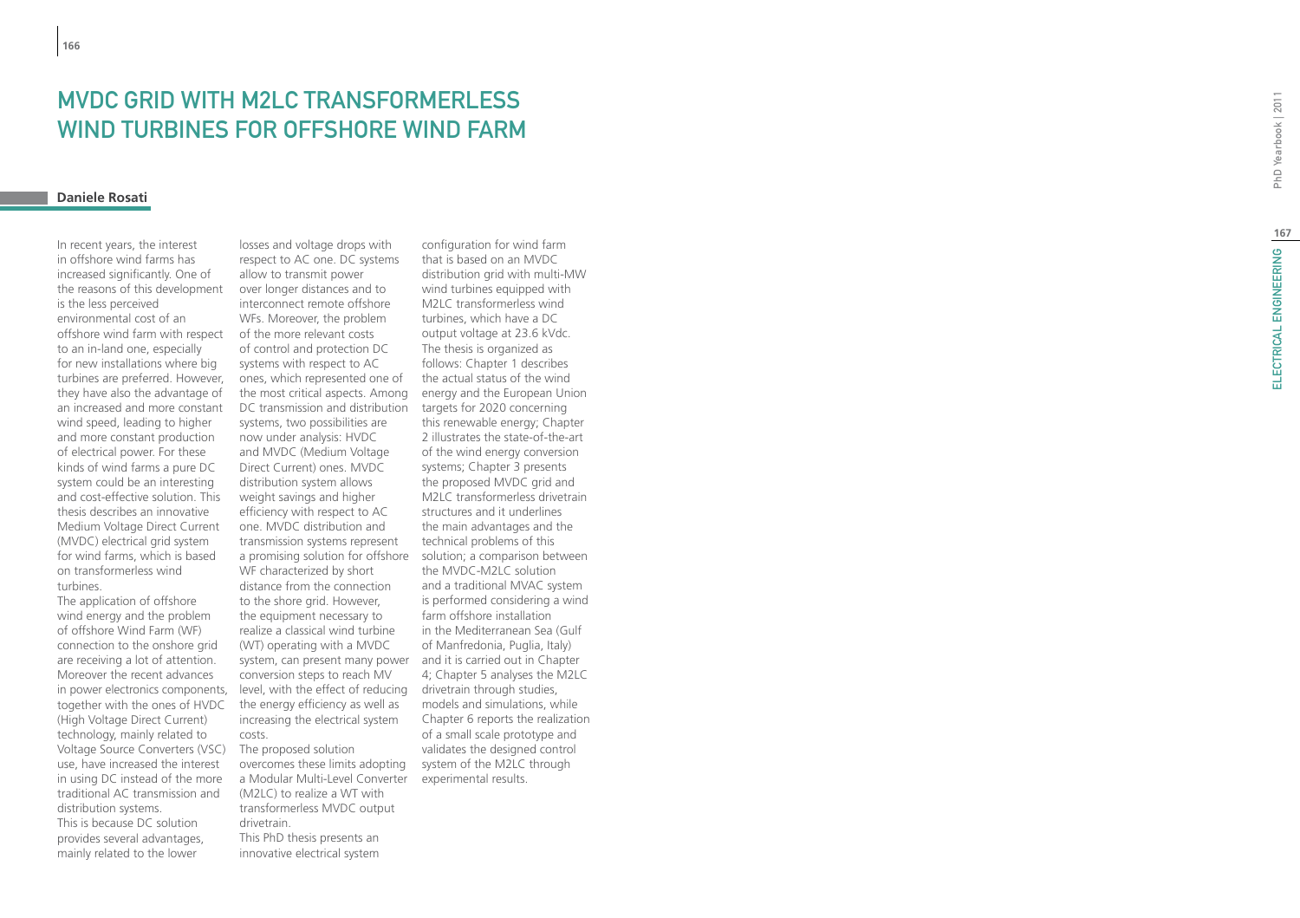# **MVDC GRID<br>WIND TURB**<br><sub>Daniele Rosati</sub> WITH M2LC TRANSFORMERLES WIND T URBINE S FOR OFFSHORE WIND FARM

In recent years, the interest in offshore wind farms has increased significantly. One of the reasons of this development is the less perceived environmental cost of an offshore wind farm with respect to an in-land one, especially for new installations where big turbines are preferred. However, they have also the advantage of an increased and more constant wind speed, leading to higher and more constant production of electrical power. For these kinds of wind farms a pure DC system could be an interesting and cost-effective solution. This thesis describes an innovative Medium Voltage Direct Current (MVDC) electrical grid system for wind farms, which is based on transformerless wind turbines.

The application of offshore wind energy and the problem of offshore Wind Farm (WF) connection to the onshore grid are receiving a lot of attention. Moreover the recent advances in power electronics components, together with the ones of HVDC (High Voltage Direct Current) technology, mainly related to Voltage Source Converters (VSC) use, have increased the interest in using DC instead of the more traditional AC transmission and distribution systems. This is because DC solution provides several advantages, mainly related to the lower

losses and voltage drops with respect to AC one. DC systems allow to transmit power over longer distances and to interconnect remote offshore WFs. Moreover, the problem of the more relevant costs of control and protection DC systems with respect to AC ones, which represented one of the most critical aspects. Among DC transmission and distribution systems, two possibilities are now under analysis: HVDC and MVDC (Medium Voltage Direct Current) ones. MVDC distribution system allows weight savings and higher efficiency with respect to AC one. MVDC distribution and transmission systems represent WF characterized by short distance from the connection to the shore grid. However, the equipment necessary to realize a classical wind turbine (WT) operating with a MVDC system, can present many power conversion steps to reach MV level, with the effect of reducing the energy efficiency as well as increasing the electrical system costs. The proposed solution

a Modular Multi-Level Converter experimental results.(M2LC) to realize a WT with transformerless MVDC output drivetrain. This PhD thesis presents an innovative electrical system

a promising solution for offshore solution; a comparison between overcomes these limits adopting system of the M2LC through configuration for wind farm that is based on an MVDC distribution grid with multi-MW wind turbines equipped with M2LC transformerless wind turbines, which have a DC output voltage at 23.6 kVdc. The thesis is organized as follows: Chapter 1 describes the actual status of the wind energy and the European Union targets for 2020 concerning this renewable energy; Chapter 2 illustrates the state-of-the-art of the wind energy conversion systems; Chapter 3 presents the proposed MVDC grid and M2LC transformerless drivetrain structures and it underlines the main advantages and the technical problems of this the MVDC-M2LC solution and a traditional MVAC system is performed considering a wind farm offshore installation in the Mediterranean Sea (Gulf of Manfredonia, Puglia, Italy) and it is carried out in Chapter 4; Chapter 5 analyses the M2LC drivetrain through studies, models and simulations, while Chapter 6 reports the realization of a small scale prototype and validates the designed control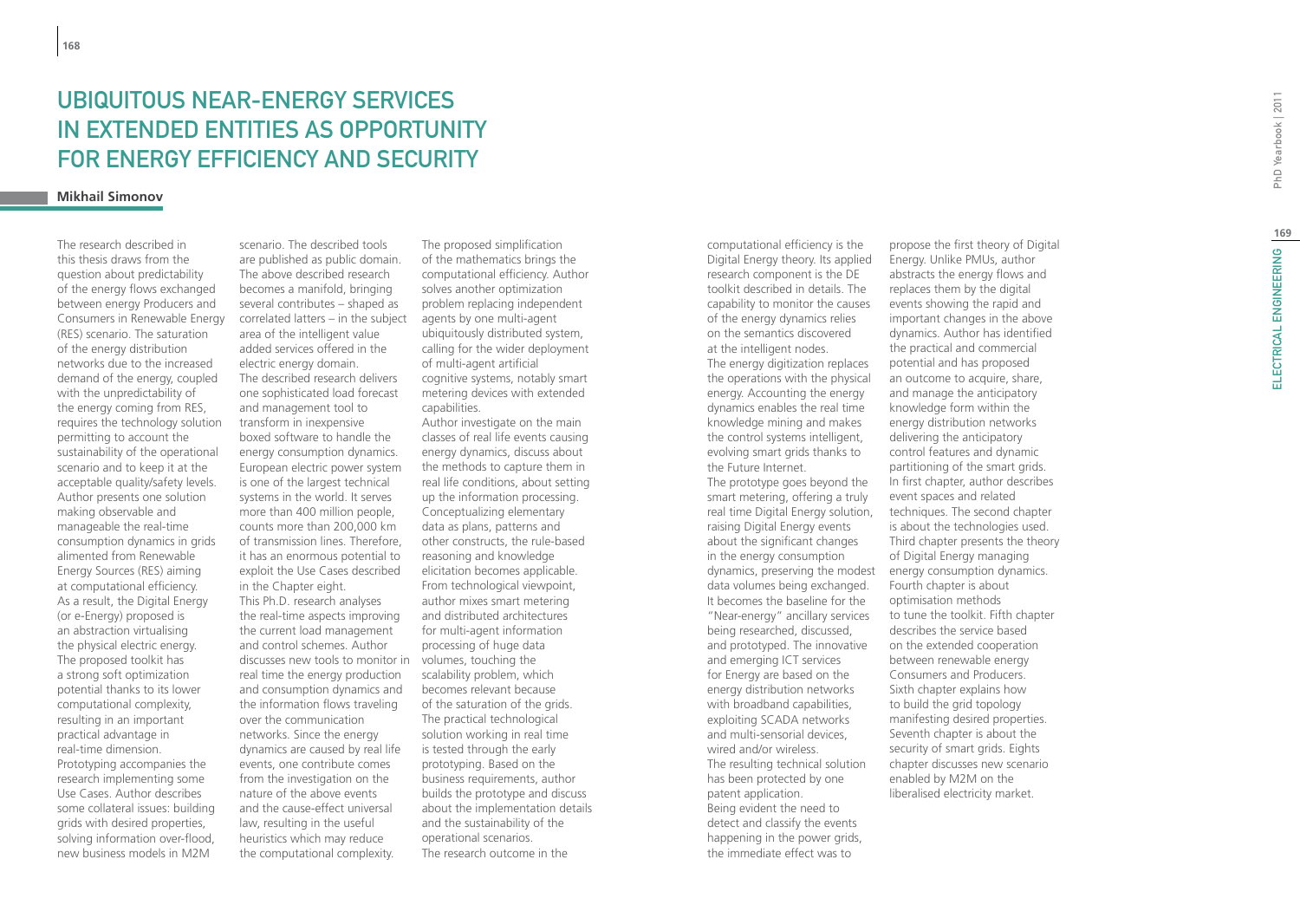# Ubiquitous Near-Energy Services IN EXTENDED ENTITIES AS OPPORTU FOR ENERGY EFFICIENCY AND SECUF

### **Mikhail Simonov**

The research described in this thesis draws from the question about predictability of the energy flows exchanged between energy Producers and Consumers in Renewable Energy (RES) scenario. The saturation of the energy distribution networks due to the increased demand of the energy, coupled with the unpredictability of the energy coming from RES, requires the technology solution permitting to account the sustainability of the operational scenario and to keep it at the acceptable quality/safety levels. Author presents one solution making observable and manageable the real-time consumption dynamics in grids alimented from Renewable Energy Sources (RES) aiming at computational efficiency. As a result, the Digital Energy (or e-Energy) proposed is an abstraction virtualising the physical electric energy. The proposed toolkit has a strong soft optimization potential thanks to its lower computational complexity, resulting in an important practical advantage in real-time dimension. Prototyping accompanies the research implementing some Use Cases. Author describes some collateral issues: building grids with desired properties, solving information over-flood, new business models in M2M

scenario. The described tools are published as public domain. The above described research becomes a manifold, bringing several contributes – shaped as correlated latters – in the subject area of the intelligent value added services offered in the electric energy domain. The described research delivers one sophisticated load forecast and management tool to transform in inexpensive boxed software to handle the energy consumption dynamics. European electric power system is one of the largest technical systems in the world. It serves more than 400 million people, counts more than 200,000 km of transmission lines. Therefore, it has an enormous potential to exploit the Use Cases described in the Chapter eight. This Ph.D. research analyses the real-time aspects improving the current load management and control schemes. Author discusses new tools to monitor in volumes, touching the real time the energy production and consumption dynamics and the information flows traveling over the communication networks. Since the energy dynamics are caused by real life events, one contribute comes from the investigation on the nature of the above events and the cause-effect universal law, resulting in the useful heuristics which may reduce the computational complexity.

The proposed simplification of the mathematics brings the computational efficiency. Author solves another optimization problem replacing independent agents by one multi-agent ubiquitously distributed system, calling for the wider deployment of multi-agent artificial cognitive systems, notably smart metering devices with extended capabilities.

Author investigate on the main classes of real life events causing energy dynamics, discuss about the methods to capture them in real life conditions, about setting up the information processing. Conceptualizing elementary data as plans, patterns and other constructs, the rule-based reasoning and knowledge elicitation becomes applicable. From technological viewpoint, author mixes smart metering and distributed architectures for multi-agent information processing of huge data scalability problem, which becomes relevant because of the saturation of the grids. The practical technological solution working in real time is tested through the early prototyping. Based on the business requirements, author builds the prototype and discuss about the implementation details and the sustainability of the operational scenarios. The research outcome in the

computational efficiency is the Digital Energy theory. Its applied research component is the DE toolkit described in details. The capability to monitor the causes of the energy dynamics relies on the semantics discovered at the intelligent nodes.

The energy digitization replaces the operations with the physical energy. Accounting the energy dynamics enables the real time knowledge mining and makes the control systems intelligent, evolving smart grids thanks to the Future Internet.

The prototype goes beyond the smart metering, offering a truly real time Digital Energy solution, raising Digital Energy events about the significant changes in the energy consumption data volumes being exchanged. It becomes the baseline for the "Near-energy" ancillary services being researched, discussed, and prototyped. The innovative and emerging ICT services for Energy are based on the energy distribution networks with broadband capabilities, exploiting SCADA networks and multi-sensorial devices, wired and/or wireless. The resulting technical solution has been protected by one patent application. Being evident the need to detect and classify the events happening in the power grids, the immediate effect was to

propose the first theory of Digital Energy. Unlike PMUs, author abstracts the energy flows and replaces them by the digital events showing the rapid and important changes in the above dynamics. Author has identified the practical and commercial potential and has proposed an outcome to acquire, share, and manage the anticipatory knowledge form within the energy distribution networks delivering the anticipatory control features and dynamic partitioning of the smart grids. In first chapter, author describes event spaces and related techniques. The second chapter is about the technologies used. Third chapter presents the theory of Digital Energy managing dynamics, preserving the modest energy consumption dynamics. Fourth chapter is about optimisation methods to tune the toolkit. Fifth chapter describes the service based on the extended cooperation between renewable energy Consumers and Producers. Sixth chapter explains how to build the grid topology manifesting desired properties. Seventh chapter is about the security of smart grids. Eights chapter discusses new scenario enabled by M2M on the liberalised electricity market.